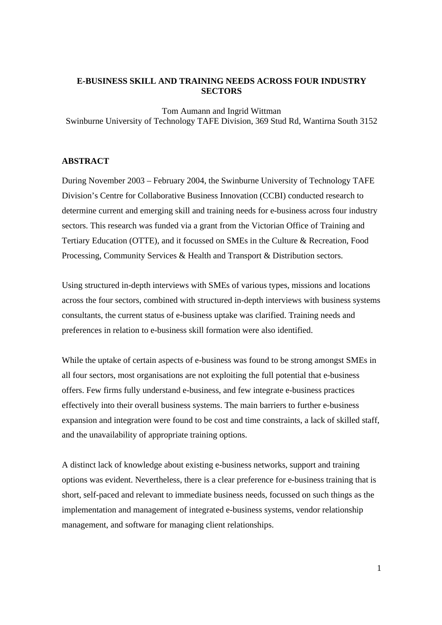## **E-BUSINESS SKILL AND TRAINING NEEDS ACROSS FOUR INDUSTRY SECTORS**

Tom Aumann and Ingrid Wittman Swinburne University of Technology TAFE Division, 369 Stud Rd, Wantirna South 3152

### **ABSTRACT**

During November 2003 – February 2004, the Swinburne University of Technology TAFE Division's Centre for Collaborative Business Innovation (CCBI) conducted research to determine current and emerging skill and training needs for e-business across four industry sectors. This research was funded via a grant from the Victorian Office of Training and Tertiary Education (OTTE), and it focussed on SMEs in the Culture & Recreation, Food Processing, Community Services & Health and Transport & Distribution sectors.

Using structured in-depth interviews with SMEs of various types, missions and locations across the four sectors, combined with structured in-depth interviews with business systems consultants, the current status of e-business uptake was clarified. Training needs and preferences in relation to e-business skill formation were also identified.

While the uptake of certain aspects of e-business was found to be strong amongst SMEs in all four sectors, most organisations are not exploiting the full potential that e-business offers. Few firms fully understand e-business, and few integrate e-business practices effectively into their overall business systems. The main barriers to further e-business expansion and integration were found to be cost and time constraints, a lack of skilled staff, and the unavailability of appropriate training options.

A distinct lack of knowledge about existing e-business networks, support and training options was evident. Nevertheless, there is a clear preference for e-business training that is short, self-paced and relevant to immediate business needs, focussed on such things as the implementation and management of integrated e-business systems, vendor relationship management, and software for managing client relationships.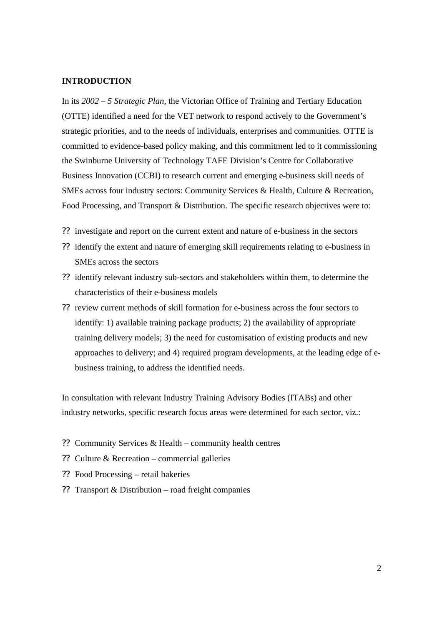### **INTRODUCTION**

In its *2002 – 5 Strategic Plan*, the Victorian Office of Training and Tertiary Education (OTTE) identified a need for the VET network to respond actively to the Government's strategic priorities, and to the needs of individuals, enterprises and communities. OTTE is committed to evidence-based policy making, and this commitment led to it commissioning the Swinburne University of Technology TAFE Division's Centre for Collaborative Business Innovation (CCBI) to research current and emerging e-business skill needs of SMEs across four industry sectors: Community Services & Health, Culture & Recreation, Food Processing, and Transport & Distribution. The specific research objectives were to:

- ?? investigate and report on the current extent and nature of e-business in the sectors
- ?? identify the extent and nature of emerging skill requirements relating to e-business in SMEs across the sectors
- ?? identify relevant industry sub-sectors and stakeholders within them, to determine the characteristics of their e-business models
- ?? review current methods of skill formation for e-business across the four sectors to identify: 1) available training package products; 2) the availability of appropriate training delivery models; 3) the need for customisation of existing products and new approaches to delivery; and 4) required program developments, at the leading edge of ebusiness training, to address the identified needs.

In consultation with relevant Industry Training Advisory Bodies (ITABs) and other industry networks, specific research focus areas were determined for each sector, viz.:

- ?? Community Services & Health community health centres
- ?? Culture & Recreation commercial galleries
- ?? Food Processing retail bakeries
- ?? Transport & Distribution road freight companies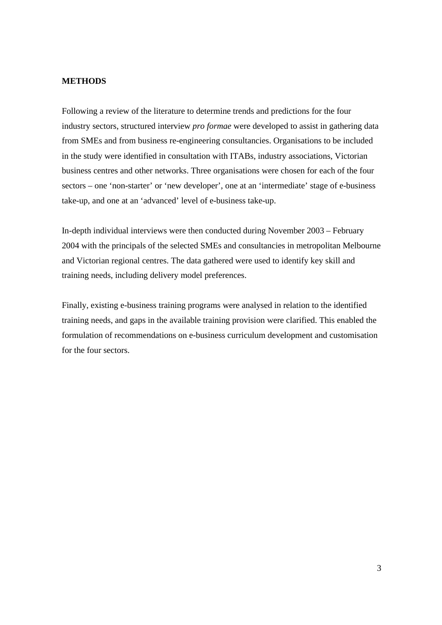### **METHODS**

Following a review of the literature to determine trends and predictions for the four industry sectors, structured interview *pro formae* were developed to assist in gathering data from SMEs and from business re-engineering consultancies. Organisations to be included in the study were identified in consultation with ITABs, industry associations, Victorian business centres and other networks. Three organisations were chosen for each of the four sectors – one 'non-starter' or 'new developer', one at an 'intermediate' stage of e-business take-up, and one at an 'advanced' level of e-business take-up.

In-depth individual interviews were then conducted during November 2003 – February 2004 with the principals of the selected SMEs and consultancies in metropolitan Melbourne and Victorian regional centres. The data gathered were used to identify key skill and training needs, including delivery model preferences.

Finally, existing e-business training programs were analysed in relation to the identified training needs, and gaps in the available training provision were clarified. This enabled the formulation of recommendations on e-business curriculum development and customisation for the four sectors.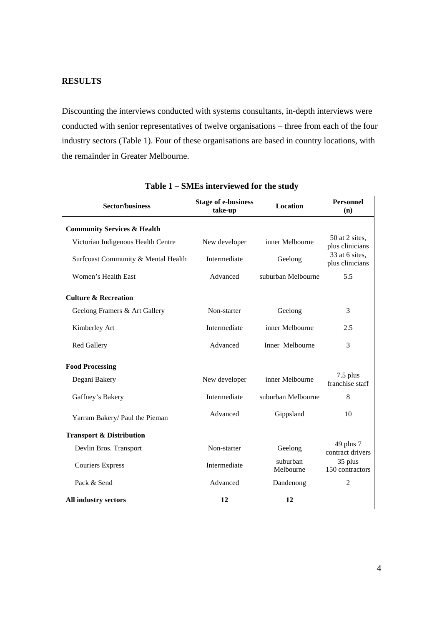# **RESULTS**

Discounting the interviews conducted with systems consultants, in-depth interviews were conducted with senior representatives of twelve organisations – three from each of the four industry sectors (Table 1). Four of these organisations are based in country locations, with the remainder in Greater Melbourne.

| <b>Sector/business</b>                 | <b>Stage of e-business</b><br>take-up | <b>Location</b>       | <b>Personnel</b><br>(n)           |
|----------------------------------------|---------------------------------------|-----------------------|-----------------------------------|
| <b>Community Services &amp; Health</b> |                                       |                       |                                   |
| Victorian Indigenous Health Centre     | New developer                         | inner Melbourne       | 50 at 2 sites,<br>plus clinicians |
| Surfcoast Community & Mental Health    | Intermediate                          | Geelong               | 33 at 6 sites,<br>plus clinicians |
| Women's Health East                    | Advanced                              | suburban Melbourne    | 5.5                               |
| <b>Culture &amp; Recreation</b>        |                                       |                       |                                   |
| Geelong Framers & Art Gallery          | Non-starter                           | Geelong               | 3                                 |
| Kimberley Art                          | Intermediate                          | inner Melbourne       | 2.5                               |
| <b>Red Gallery</b>                     | Advanced                              | Inner Melbourne       | 3                                 |
| <b>Food Processing</b>                 |                                       |                       |                                   |
| Degani Bakery                          | New developer                         | inner Melbourne       | 7.5 plus<br>franchise staff       |
| Gaffney's Bakery                       | Intermediate                          | suburban Melbourne    | 8                                 |
| Yarram Bakery/ Paul the Pieman         | Advanced                              | Gippsland             | 10                                |
| <b>Transport &amp; Distribution</b>    |                                       |                       |                                   |
| Devlin Bros. Transport                 | Non-starter                           | Geelong               | 49 plus 7<br>contract drivers     |
| <b>Couriers Express</b>                | Intermediate                          | suburban<br>Melbourne | 35 plus<br>150 contractors        |
| Pack & Send                            | Advanced                              | Dandenong             | $\mathfrak{2}$                    |
| All industry sectors                   | 12                                    | 12                    |                                   |

**Table 1 – SMEs interviewed for the study**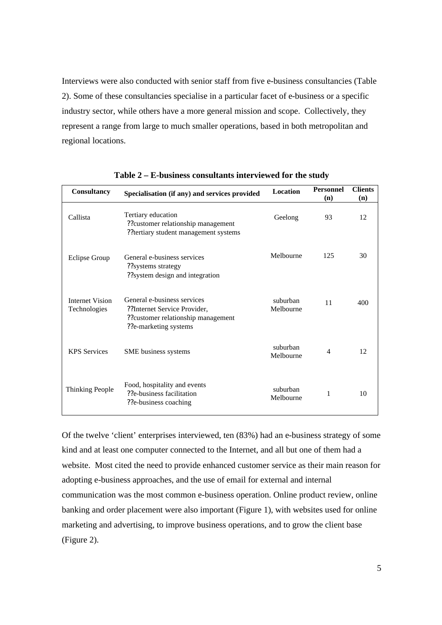Interviews were also conducted with senior staff from five e-business consultancies (Table 2). Some of these consultancies specialise in a particular facet of e-business or a specific industry sector, while others have a more general mission and scope. Collectively, they represent a range from large to much smaller operations, based in both metropolitan and regional locations.

| Consultancy                            | Specialisation (if any) and services provided                                                                              | <b>Location</b>       | <b>Personnel</b><br>(n) | <b>Clients</b><br>(n) |
|----------------------------------------|----------------------------------------------------------------------------------------------------------------------------|-----------------------|-------------------------|-----------------------|
| Callista                               | Tertiary education<br>??customer relationship management<br>??tertiary student management systems                          | Geelong               | 93                      | 12                    |
| <b>Eclipse Group</b>                   | General e-business services<br>??systems strategy<br>??system design and integration                                       | Melbourne             | 125                     | 30                    |
| <b>Internet Vision</b><br>Technologies | General e-business services<br>??Internet Service Provider,<br>??customer relationship management<br>??e-marketing systems | suburban<br>Melbourne | 11                      | 400                   |
| <b>KPS</b> Services                    | SME business systems                                                                                                       | suburban<br>Melbourne | 4                       | 12                    |
| Thinking People                        | Food, hospitality and events<br>??e-business facilitation<br>??e-business coaching                                         | suburban<br>Melbourne | 1                       | 10                    |

**Table 2 – E-business consultants interviewed for the study**

Of the twelve 'client' enterprises interviewed, ten (83%) had an e-business strategy of some kind and at least one computer connected to the Internet, and all but one of them had a website. Most cited the need to provide enhanced customer service as their main reason for adopting e-business approaches, and the use of email for external and internal communication was the most common e-business operation. Online product review, online banking and order placement were also important (Figure 1), with websites used for online marketing and advertising, to improve business operations, and to grow the client base (Figure 2).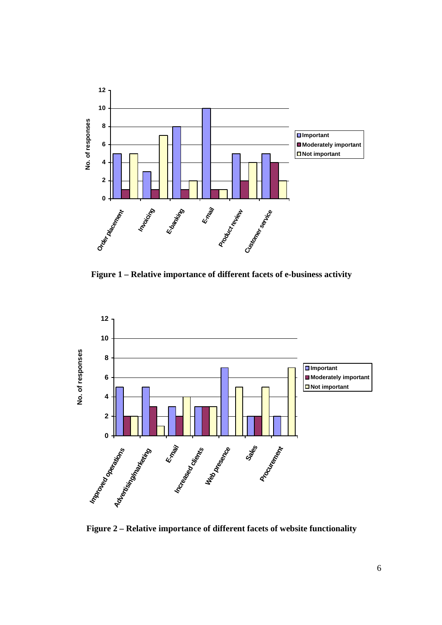

**Figure 1 – Relative importance of different facets of e-business activity**



**Figure 2 – Relative importance of different facets of website functionality**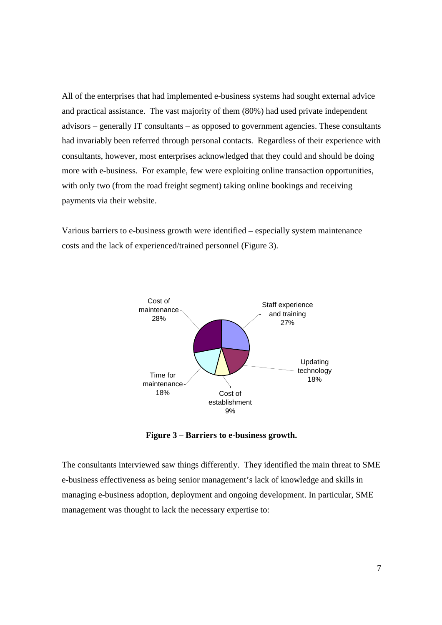All of the enterprises that had implemented e-business systems had sought external advice and practical assistance. The vast majority of them (80%) had used private independent advisors – generally IT consultants – as opposed to government agencies. These consultants had invariably been referred through personal contacts. Regardless of their experience with consultants, however, most enterprises acknowledged that they could and should be doing more with e-business. For example, few were exploiting online transaction opportunities, with only two (from the road freight segment) taking online bookings and receiving payments via their website.

Various barriers to e-business growth were identified – especially system maintenance costs and the lack of experienced/trained personnel (Figure 3).



**Figure 3 – Barriers to e-business growth.**

The consultants interviewed saw things differently. They identified the main threat to SME e-business effectiveness as being senior management's lack of knowledge and skills in managing e-business adoption, deployment and ongoing development. In particular, SME management was thought to lack the necessary expertise to: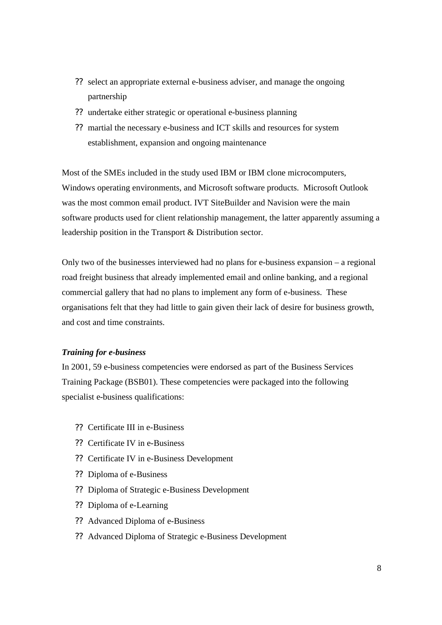- ?? select an appropriate external e-business adviser, and manage the ongoing partnership
- ?? undertake either strategic or operational e-business planning
- ?? martial the necessary e-business and ICT skills and resources for system establishment, expansion and ongoing maintenance

Most of the SMEs included in the study used IBM or IBM clone microcomputers, Windows operating environments, and Microsoft software products. Microsoft Outlook was the most common email product. IVT SiteBuilder and Navision were the main software products used for client relationship management, the latter apparently assuming a leadership position in the Transport & Distribution sector.

Only two of the businesses interviewed had no plans for e-business expansion – a regional road freight business that already implemented email and online banking, and a regional commercial gallery that had no plans to implement any form of e-business. These organisations felt that they had little to gain given their lack of desire for business growth, and cost and time constraints.

### *Training for e-business*

In 2001, 59 e-business competencies were endorsed as part of the Business Services Training Package (BSB01). These competencies were packaged into the following specialist e-business qualifications:

- ?? Certificate III in e-Business
- ?? Certificate IV in e-Business
- ?? Certificate IV in e-Business Development
- ?? Diploma of e-Business
- ?? Diploma of Strategic e-Business Development
- ?? Diploma of e-Learning
- ?? Advanced Diploma of e-Business
- ?? Advanced Diploma of Strategic e-Business Development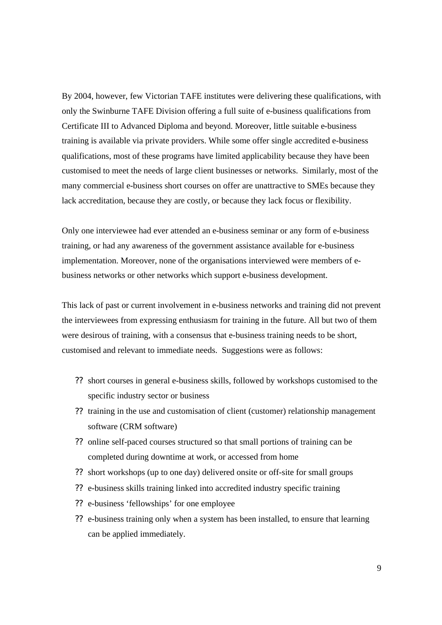By 2004, however, few Victorian TAFE institutes were delivering these qualifications, with only the Swinburne TAFE Division offering a full suite of e-business qualifications from Certificate III to Advanced Diploma and beyond. Moreover, little suitable e-business training is available via private providers. While some offer single accredited e-business qualifications, most of these programs have limited applicability because they have been customised to meet the needs of large client businesses or networks. Similarly, most of the many commercial e-business short courses on offer are unattractive to SMEs because they lack accreditation, because they are costly, or because they lack focus or flexibility.

Only one interviewee had ever attended an e-business seminar or any form of e-business training, or had any awareness of the government assistance available for e-business implementation. Moreover, none of the organisations interviewed were members of ebusiness networks or other networks which support e-business development.

This lack of past or current involvement in e-business networks and training did not prevent the interviewees from expressing enthusiasm for training in the future. All but two of them were desirous of training, with a consensus that e-business training needs to be short, customised and relevant to immediate needs. Suggestions were as follows:

- ?? short courses in general e-business skills, followed by workshops customised to the specific industry sector or business
- ?? training in the use and customisation of client (customer) relationship management software (CRM software)
- ?? online self-paced courses structured so that small portions of training can be completed during downtime at work, or accessed from home
- ?? short workshops (up to one day) delivered onsite or off-site for small groups
- ?? e-business skills training linked into accredited industry specific training
- ?? e-business 'fellowships' for one employee
- ?? e-business training only when a system has been installed, to ensure that learning can be applied immediately.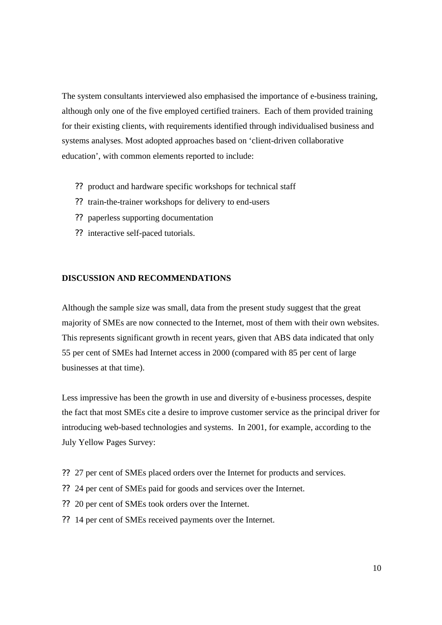The system consultants interviewed also emphasised the importance of e-business training, although only one of the five employed certified trainers. Each of them provided training for their existing clients, with requirements identified through individualised business and systems analyses. Most adopted approaches based on 'client-driven collaborative education', with common elements reported to include:

- ?? product and hardware specific workshops for technical staff
- ?? train-the-trainer workshops for delivery to end-users
- ?? paperless supporting documentation
- ?? interactive self-paced tutorials.

### **DISCUSSION AND RECOMMENDATIONS**

Although the sample size was small, data from the present study suggest that the great majority of SMEs are now connected to the Internet, most of them with their own websites. This represents significant growth in recent years, given that ABS data indicated that only 55 per cent of SMEs had Internet access in 2000 (compared with 85 per cent of large businesses at that time).

Less impressive has been the growth in use and diversity of e-business processes, despite the fact that most SMEs cite a desire to improve customer service as the principal driver for introducing web-based technologies and systems. In 2001, for example, according to the July Yellow Pages Survey:

- ?? 27 per cent of SMEs placed orders over the Internet for products and services.
- ?? 24 per cent of SMEs paid for goods and services over the Internet.
- ?? 20 per cent of SMEs took orders over the Internet.
- ?? 14 per cent of SMEs received payments over the Internet.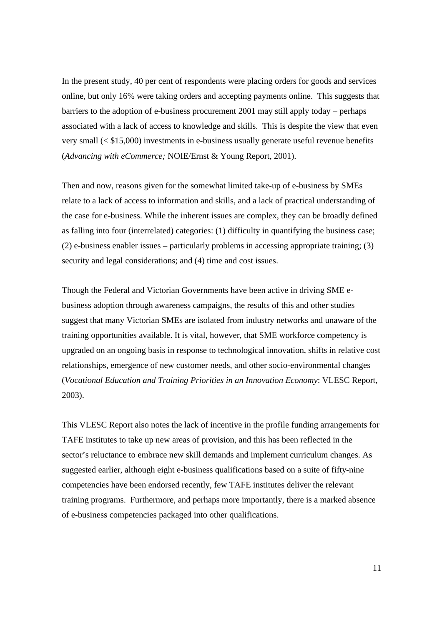In the present study, 40 per cent of respondents were placing orders for goods and services online, but only 16% were taking orders and accepting payments online. This suggests that barriers to the adoption of e-business procurement 2001 may still apply today – perhaps associated with a lack of access to knowledge and skills. This is despite the view that even very small (< \$15,000) investments in e-business usually generate useful revenue benefits (*Advancing with eCommerce;* NOIE/Ernst & Young Report, 2001).

Then and now, reasons given for the somewhat limited take-up of e-business by SMEs relate to a lack of access to information and skills, and a lack of practical understanding of the case for e-business. While the inherent issues are complex, they can be broadly defined as falling into four (interrelated) categories: (1) difficulty in quantifying the business case; (2) e-business enabler issues – particularly problems in accessing appropriate training; (3) security and legal considerations; and (4) time and cost issues.

Though the Federal and Victorian Governments have been active in driving SME ebusiness adoption through awareness campaigns, the results of this and other studies suggest that many Victorian SMEs are isolated from industry networks and unaware of the training opportunities available. It is vital, however, that SME workforce competency is upgraded on an ongoing basis in response to technological innovation, shifts in relative cost relationships, emergence of new customer needs, and other socio-environmental changes (*Vocational Education and Training Priorities in an Innovation Economy*: VLESC Report, 2003).

This VLESC Report also notes the lack of incentive in the profile funding arrangements for TAFE institutes to take up new areas of provision, and this has been reflected in the sector's reluctance to embrace new skill demands and implement curriculum changes. As suggested earlier, although eight e-business qualifications based on a suite of fifty-nine competencies have been endorsed recently, few TAFE institutes deliver the relevant training programs. Furthermore, and perhaps more importantly, there is a marked absence of e-business competencies packaged into other qualifications.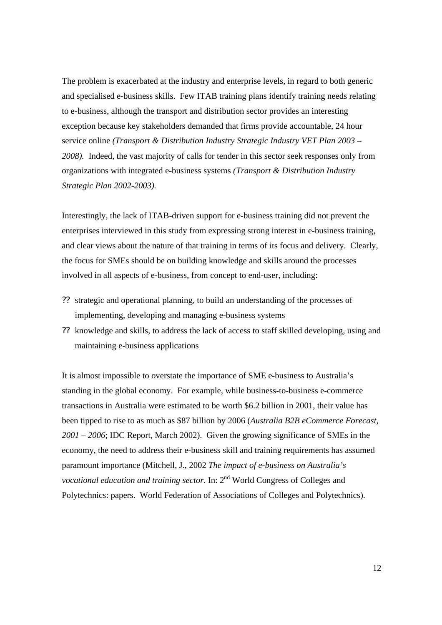The problem is exacerbated at the industry and enterprise levels, in regard to both generic and specialised e-business skills. Few ITAB training plans identify training needs relating to e-business, although the transport and distribution sector provides an interesting exception because key stakeholders demanded that firms provide accountable, 24 hour service online *(Transport & Distribution Industry Strategic Industry VET Plan 2003 – 2008).* Indeed, the vast majority of calls for tender in this sector seek responses only from organizations with integrated e-business systems *(Transport & Distribution Industry Strategic Plan 2002-2003).*

Interestingly, the lack of ITAB-driven support for e-business training did not prevent the enterprises interviewed in this study from expressing strong interest in e-business training, and clear views about the nature of that training in terms of its focus and delivery. Clearly, the focus for SMEs should be on building knowledge and skills around the processes involved in all aspects of e-business, from concept to end-user, including:

- ?? strategic and operational planning, to build an understanding of the processes of implementing, developing and managing e-business systems
- ?? knowledge and skills, to address the lack of access to staff skilled developing, using and maintaining e-business applications

It is almost impossible to overstate the importance of SME e-business to Australia's standing in the global economy. For example, while business-to-business e-commerce transactions in Australia were estimated to be worth \$6.2 billion in 2001, their value has been tipped to rise to as much as \$87 billion by 2006 (*Australia B2B eCommerce Forecast, 2001 – 2006*; IDC Report, March 2002). Given the growing significance of SMEs in the economy, the need to address their e-business skill and training requirements has assumed paramount importance (Mitchell, J., 2002 *The impact of e-business on Australia's vocational education and training sector*. In: 2<sup>nd</sup> World Congress of Colleges and Polytechnics: papers. World Federation of Associations of Colleges and Polytechnics).